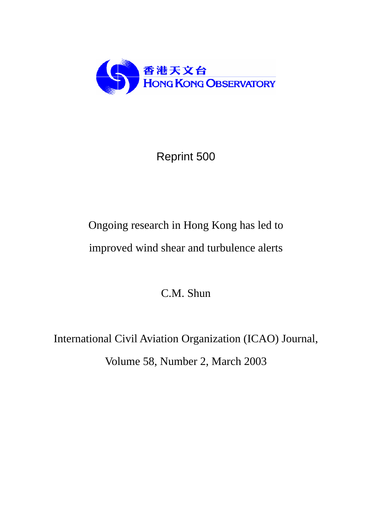

### Reprint 500

# Ongoing research in Hong Kong has led to improved wind shear and turbulence alerts

C.M. Shun

International Civil Aviation Organization (ICAO) Journal, Volume 58, Number 2, March 2003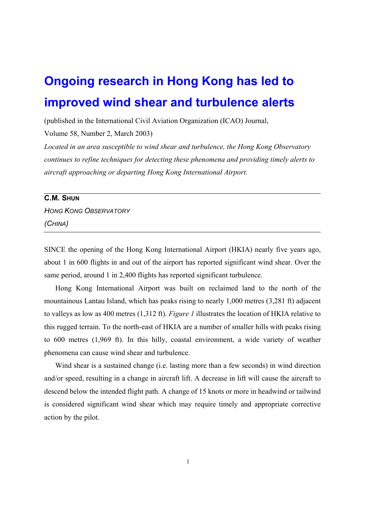## **Ongoing research in Hong Kong has led to improved wind shear and turbulence alerts**

(published in the International Civil Aviation Organization (ICAO) Journal,

Volume 58, Number 2, March 2003)

*Located in an area susceptible to wind shear and turbulence, the Hong Kong Observatory continues to refine techniques for detecting these phenomena and providing timely alerts to aircraft approaching or departing Hong Kong International Airport.* 

#### **C.M. SHUN**

*HONG KONG OBSERVATORY (CHINA)*

SINCE the opening of the Hong Kong International Airport (HKIA) nearly five years ago, about 1 in 600 flights in and out of the airport has reported significant wind shear. Over the same period, around 1 in 2,400 flights has reported significant turbulence.

Hong Kong International Airport was built on reclaimed land to the north of the mountainous Lantau Island, which has peaks rising to nearly 1,000 metres (3,281 ft) adjacent to valleys as low as 400 metres (1,312 ft). *Figure 1* illustrates the location of HKIA relative to this rugged terrain. To the north-east of HKIA are a number of smaller hills with peaks rising to 600 metres (1,969 ft). In this hilly, coastal environment, a wide variety of weather phenomena can cause wind shear and turbulence.

Wind shear is a sustained change (i.e. lasting more than a few seconds) in wind direction and/or speed, resulting in a change in aircraft lift. A decrease in lift will cause the aircraft to descend below the intended flight path. A change of 15 knots or more in headwind or tailwind is considered significant wind shear which may require timely and appropriate corrective action by the pilot.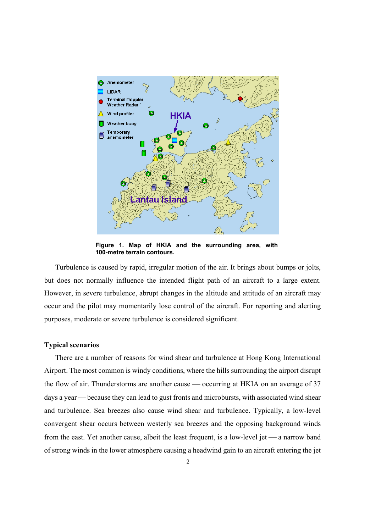

**Figure 1. Map of HKIA and the surrounding area, with 100-metre terrain contours.** 

Turbulence is caused by rapid, irregular motion of the air. It brings about bumps or jolts, but does not normally influence the intended flight path of an aircraft to a large extent. However, in severe turbulence, abrupt changes in the altitude and attitude of an aircraft may occur and the pilot may momentarily lose control of the aircraft. For reporting and alerting purposes, moderate or severe turbulence is considered significant.

#### **Typical scenarios**

There are a number of reasons for wind shear and turbulence at Hong Kong International Airport. The most common is windy conditions, where the hills surrounding the airport disrupt the flow of air. Thunderstorms are another cause  $\sim$  occurring at HKIA on an average of 37 days a year — because they can lead to gust fronts and microbursts, with associated wind shear and turbulence. Sea breezes also cause wind shear and turbulence. Typically, a low-level convergent shear occurs between westerly sea breezes and the opposing background winds from the east. Yet another cause, albeit the least frequent, is a low-level jet — a narrow band of strong winds in the lower atmosphere causing a headwind gain to an aircraft entering the jet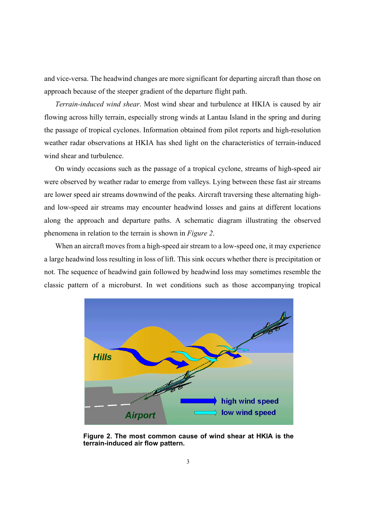and vice-versa. The headwind changes are more significant for departing aircraft than those on approach because of the steeper gradient of the departure flight path.

*Terrain-induced wind shear*. Most wind shear and turbulence at HKIA is caused by air flowing across hilly terrain, especially strong winds at Lantau Island in the spring and during the passage of tropical cyclones. Information obtained from pilot reports and high-resolution weather radar observations at HKIA has shed light on the characteristics of terrain-induced wind shear and turbulence.

On windy occasions such as the passage of a tropical cyclone, streams of high-speed air were observed by weather radar to emerge from valleys. Lying between these fast air streams are lower speed air streams downwind of the peaks. Aircraft traversing these alternating highand low-speed air streams may encounter headwind losses and gains at different locations along the approach and departure paths. A schematic diagram illustrating the observed phenomena in relation to the terrain is shown in *Figure 2*.

When an aircraft moves from a high-speed air stream to a low-speed one, it may experience a large headwind loss resulting in loss of lift. This sink occurs whether there is precipitation or not. The sequence of headwind gain followed by headwind loss may sometimes resemble the classic pattern of a microburst. In wet conditions such as those accompanying tropical



**Figure 2. The most common cause of wind shear at HKIA is the terrain-induced air flow pattern.**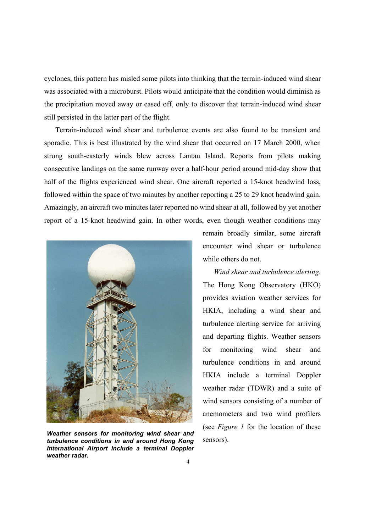cyclones, this pattern has misled some pilots into thinking that the terrain-induced wind shear was associated with a microburst. Pilots would anticipate that the condition would diminish as the precipitation moved away or eased off, only to discover that terrain-induced wind shear still persisted in the latter part of the flight.

Terrain-induced wind shear and turbulence events are also found to be transient and sporadic. This is best illustrated by the wind shear that occurred on 17 March 2000, when strong south-easterly winds blew across Lantau Island. Reports from pilots making consecutive landings on the same runway over a half-hour period around mid-day show that half of the flights experienced wind shear. One aircraft reported a 15-knot headwind loss, followed within the space of two minutes by another reporting a 25 to 29 knot headwind gain. Amazingly, an aircraft two minutes later reported no wind shear at all, followed by yet another report of a 15-knot headwind gain. In other words, even though weather conditions may



*Weather sensors for monitoring wind shear and turbulence conditions in and around Hong Kong International Airport include a terminal Doppler weather radar.* 

remain broadly similar, some aircraft encounter wind shear or turbulence while others do not.

*Wind shear and turbulence alerting*. The Hong Kong Observatory (HKO) provides aviation weather services for HKIA, including a wind shear and turbulence alerting service for arriving and departing flights. Weather sensors for monitoring wind shear and turbulence conditions in and around HKIA include a terminal Doppler weather radar (TDWR) and a suite of wind sensors consisting of a number of anemometers and two wind profilers (see *Figure 1* for the location of these sensors).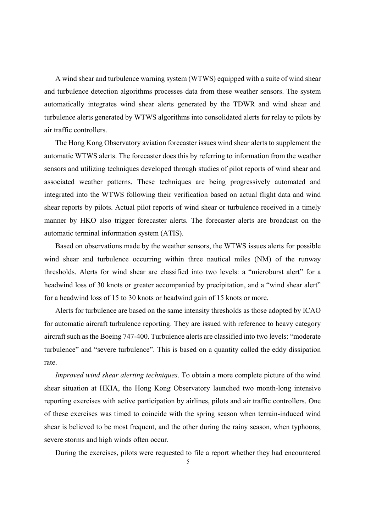A wind shear and turbulence warning system (WTWS) equipped with a suite of wind shear and turbulence detection algorithms processes data from these weather sensors. The system automatically integrates wind shear alerts generated by the TDWR and wind shear and turbulence alerts generated by WTWS algorithms into consolidated alerts for relay to pilots by air traffic controllers.

The Hong Kong Observatory aviation forecaster issues wind shear alerts to supplement the automatic WTWS alerts. The forecaster does this by referring to information from the weather sensors and utilizing techniques developed through studies of pilot reports of wind shear and associated weather patterns. These techniques are being progressively automated and integrated into the WTWS following their verification based on actual flight data and wind shear reports by pilots. Actual pilot reports of wind shear or turbulence received in a timely manner by HKO also trigger forecaster alerts. The forecaster alerts are broadcast on the automatic terminal information system (ATIS).

Based on observations made by the weather sensors, the WTWS issues alerts for possible wind shear and turbulence occurring within three nautical miles (NM) of the runway thresholds. Alerts for wind shear are classified into two levels: a "microburst alert" for a headwind loss of 30 knots or greater accompanied by precipitation, and a "wind shear alert" for a headwind loss of 15 to 30 knots or headwind gain of 15 knots or more.

Alerts for turbulence are based on the same intensity thresholds as those adopted by ICAO for automatic aircraft turbulence reporting. They are issued with reference to heavy category aircraft such as the Boeing 747-400. Turbulence alerts are classified into two levels: "moderate turbulence" and "severe turbulence". This is based on a quantity called the eddy dissipation rate.

*Improved wind shear alerting techniques*. To obtain a more complete picture of the wind shear situation at HKIA, the Hong Kong Observatory launched two month-long intensive reporting exercises with active participation by airlines, pilots and air traffic controllers. One of these exercises was timed to coincide with the spring season when terrain-induced wind shear is believed to be most frequent, and the other during the rainy season, when typhoons, severe storms and high winds often occur.

During the exercises, pilots were requested to file a report whether they had encountered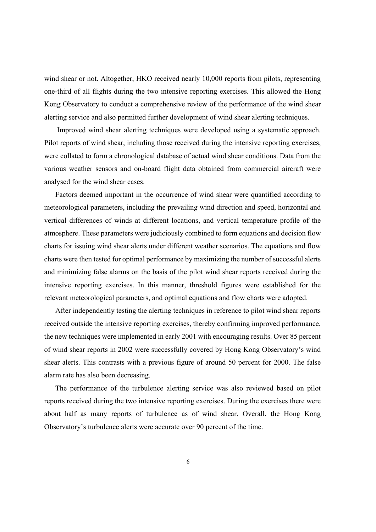wind shear or not. Altogether, HKO received nearly 10,000 reports from pilots, representing one-third of all flights during the two intensive reporting exercises. This allowed the Hong Kong Observatory to conduct a comprehensive review of the performance of the wind shear alerting service and also permitted further development of wind shear alerting techniques.

 Improved wind shear alerting techniques were developed using a systematic approach. Pilot reports of wind shear, including those received during the intensive reporting exercises, were collated to form a chronological database of actual wind shear conditions. Data from the various weather sensors and on-board flight data obtained from commercial aircraft were analysed for the wind shear cases.

Factors deemed important in the occurrence of wind shear were quantified according to meteorological parameters, including the prevailing wind direction and speed, horizontal and vertical differences of winds at different locations, and vertical temperature profile of the atmosphere. These parameters were judiciously combined to form equations and decision flow charts for issuing wind shear alerts under different weather scenarios. The equations and flow charts were then tested for optimal performance by maximizing the number of successful alerts and minimizing false alarms on the basis of the pilot wind shear reports received during the intensive reporting exercises. In this manner, threshold figures were established for the relevant meteorological parameters, and optimal equations and flow charts were adopted.

After independently testing the alerting techniques in reference to pilot wind shear reports received outside the intensive reporting exercises, thereby confirming improved performance, the new techniques were implemented in early 2001 with encouraging results. Over 85 percent of wind shear reports in 2002 were successfully covered by Hong Kong Observatory's wind shear alerts. This contrasts with a previous figure of around 50 percent for 2000. The false alarm rate has also been decreasing.

The performance of the turbulence alerting service was also reviewed based on pilot reports received during the two intensive reporting exercises. During the exercises there were about half as many reports of turbulence as of wind shear. Overall, the Hong Kong Observatory's turbulence alerts were accurate over 90 percent of the time.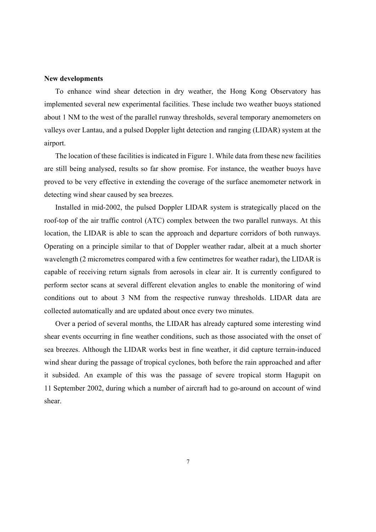#### **New developments**

To enhance wind shear detection in dry weather, the Hong Kong Observatory has implemented several new experimental facilities. These include two weather buoys stationed about 1 NM to the west of the parallel runway thresholds, several temporary anemometers on valleys over Lantau, and a pulsed Doppler light detection and ranging (LIDAR) system at the airport.

The location of these facilities is indicated in Figure 1. While data from these new facilities are still being analysed, results so far show promise. For instance, the weather buoys have proved to be very effective in extending the coverage of the surface anemometer network in detecting wind shear caused by sea breezes.

Installed in mid-2002, the pulsed Doppler LIDAR system is strategically placed on the roof-top of the air traffic control (ATC) complex between the two parallel runways. At this location, the LIDAR is able to scan the approach and departure corridors of both runways. Operating on a principle similar to that of Doppler weather radar, albeit at a much shorter wavelength (2 micrometres compared with a few centimetres for weather radar), the LIDAR is capable of receiving return signals from aerosols in clear air. It is currently configured to perform sector scans at several different elevation angles to enable the monitoring of wind conditions out to about 3 NM from the respective runway thresholds. LIDAR data are collected automatically and are updated about once every two minutes.

Over a period of several months, the LIDAR has already captured some interesting wind shear events occurring in fine weather conditions, such as those associated with the onset of sea breezes. Although the LIDAR works best in fine weather, it did capture terrain-induced wind shear during the passage of tropical cyclones, both before the rain approached and after it subsided. An example of this was the passage of severe tropical storm Hagupit on 11 September 2002, during which a number of aircraft had to go-around on account of wind shear.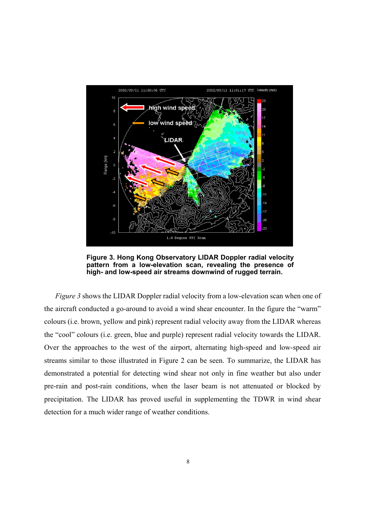

**Figure 3. Hong Kong Observatory LIDAR Doppler radial velocity pattern from a low-elevation scan, revealing the presence of high- and low-speed air streams downwind of rugged terrain.** 

*Figure 3* shows the LIDAR Doppler radial velocity from a low-elevation scan when one of the aircraft conducted a go-around to avoid a wind shear encounter. In the figure the "warm" colours (i.e. brown, yellow and pink) represent radial velocity away from the LIDAR whereas the "cool" colours (i.e. green, blue and purple) represent radial velocity towards the LIDAR. Over the approaches to the west of the airport, alternating high-speed and low-speed air streams similar to those illustrated in Figure 2 can be seen. To summarize, the LIDAR has demonstrated a potential for detecting wind shear not only in fine weather but also under pre-rain and post-rain conditions, when the laser beam is not attenuated or blocked by precipitation. The LIDAR has proved useful in supplementing the TDWR in wind shear detection for a much wider range of weather conditions.